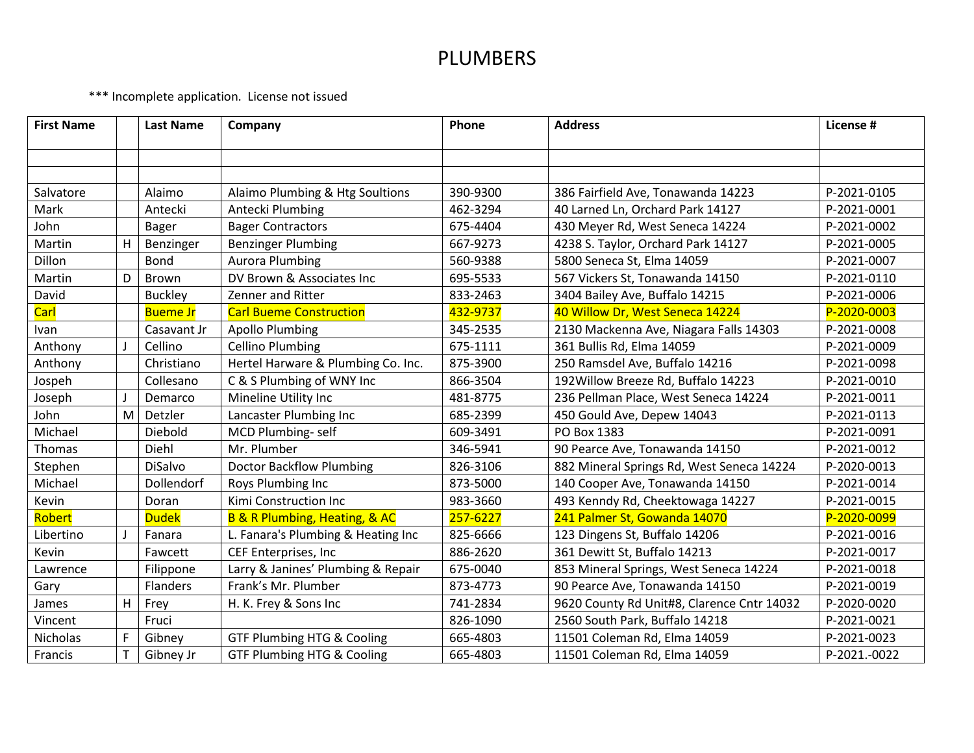\*\*\* Incomplete application. License not issued

| <b>First Name</b> |    | <b>Last Name</b> | Company                                      | Phone    | <b>Address</b>                             | License #    |
|-------------------|----|------------------|----------------------------------------------|----------|--------------------------------------------|--------------|
|                   |    |                  |                                              |          |                                            |              |
|                   |    |                  |                                              |          |                                            |              |
| Salvatore         |    | Alaimo           | Alaimo Plumbing & Htg Soultions              | 390-9300 | 386 Fairfield Ave, Tonawanda 14223         | P-2021-0105  |
| Mark              |    | Antecki          | Antecki Plumbing                             | 462-3294 | 40 Larned Ln, Orchard Park 14127           | P-2021-0001  |
| John              |    | <b>Bager</b>     | <b>Bager Contractors</b>                     | 675-4404 | 430 Meyer Rd, West Seneca 14224            | P-2021-0002  |
| Martin            | H. | Benzinger        | <b>Benzinger Plumbing</b>                    | 667-9273 | 4238 S. Taylor, Orchard Park 14127         | P-2021-0005  |
| Dillon            |    | Bond             | <b>Aurora Plumbing</b>                       | 560-9388 | 5800 Seneca St, Elma 14059                 | P-2021-0007  |
| Martin            | D  | Brown            | DV Brown & Associates Inc.                   | 695-5533 | 567 Vickers St, Tonawanda 14150            | P-2021-0110  |
| David             |    | <b>Buckley</b>   | Zenner and Ritter                            | 833-2463 | 3404 Bailey Ave, Buffalo 14215             | P-2021-0006  |
| Carl              |    | <b>Bueme Jr</b>  | <b>Carl Bueme Construction</b>               | 432-9737 | 40 Willow Dr, West Seneca 14224            | P-2020-0003  |
| Ivan              |    | Casavant Jr      | <b>Apollo Plumbing</b>                       | 345-2535 | 2130 Mackenna Ave, Niagara Falls 14303     | P-2021-0008  |
| Anthony           |    | Cellino          | <b>Cellino Plumbing</b>                      | 675-1111 | 361 Bullis Rd, Elma 14059                  | P-2021-0009  |
| Anthony           |    | Christiano       | Hertel Harware & Plumbing Co. Inc.           | 875-3900 | 250 Ramsdel Ave, Buffalo 14216             | P-2021-0098  |
| Jospeh            |    | Collesano        | C & S Plumbing of WNY Inc                    | 866-3504 | 192 Willow Breeze Rd, Buffalo 14223        | P-2021-0010  |
| Joseph            |    | Demarco          | Mineline Utility Inc                         | 481-8775 | 236 Pellman Place, West Seneca 14224       | P-2021-0011  |
| John              | M  | Detzler          | Lancaster Plumbing Inc                       | 685-2399 | 450 Gould Ave, Depew 14043                 | P-2021-0113  |
| Michael           |    | Diebold          | MCD Plumbing-self                            | 609-3491 | PO Box 1383                                | P-2021-0091  |
| Thomas            |    | Diehl            | Mr. Plumber                                  | 346-5941 | 90 Pearce Ave, Tonawanda 14150             | P-2021-0012  |
| Stephen           |    | DiSalvo          | <b>Doctor Backflow Plumbing</b>              | 826-3106 | 882 Mineral Springs Rd, West Seneca 14224  | P-2020-0013  |
| Michael           |    | Dollendorf       | Roys Plumbing Inc                            | 873-5000 | 140 Cooper Ave, Tonawanda 14150            | P-2021-0014  |
| Kevin             |    | Doran            | Kimi Construction Inc                        | 983-3660 | 493 Kenndy Rd, Cheektowaga 14227           | P-2021-0015  |
| Robert            |    | <b>Dudek</b>     | <b>B &amp; R Plumbing, Heating, &amp; AC</b> | 257-6227 | 241 Palmer St, Gowanda 14070               | P-2020-0099  |
| Libertino         |    | Fanara           | L. Fanara's Plumbing & Heating Inc           | 825-6666 | 123 Dingens St, Buffalo 14206              | P-2021-0016  |
| Kevin             |    | Fawcett          | CEF Enterprises, Inc                         | 886-2620 | 361 Dewitt St, Buffalo 14213               | P-2021-0017  |
| Lawrence          |    | Filippone        | Larry & Janines' Plumbing & Repair           | 675-0040 | 853 Mineral Springs, West Seneca 14224     | P-2021-0018  |
| Gary              |    | Flanders         | Frank's Mr. Plumber                          | 873-4773 | 90 Pearce Ave, Tonawanda 14150             | P-2021-0019  |
| James             | H  | Frey             | H. K. Frey & Sons Inc                        | 741-2834 | 9620 County Rd Unit#8, Clarence Cntr 14032 | P-2020-0020  |
| Vincent           |    | Fruci            |                                              | 826-1090 | 2560 South Park, Buffalo 14218             | P-2021-0021  |
| Nicholas          | F  | Gibney           | <b>GTF Plumbing HTG &amp; Cooling</b>        | 665-4803 | 11501 Coleman Rd, Elma 14059               | P-2021-0023  |
| Francis           |    | Gibney Jr        | <b>GTF Plumbing HTG &amp; Cooling</b>        | 665-4803 | 11501 Coleman Rd, Elma 14059               | P-2021.-0022 |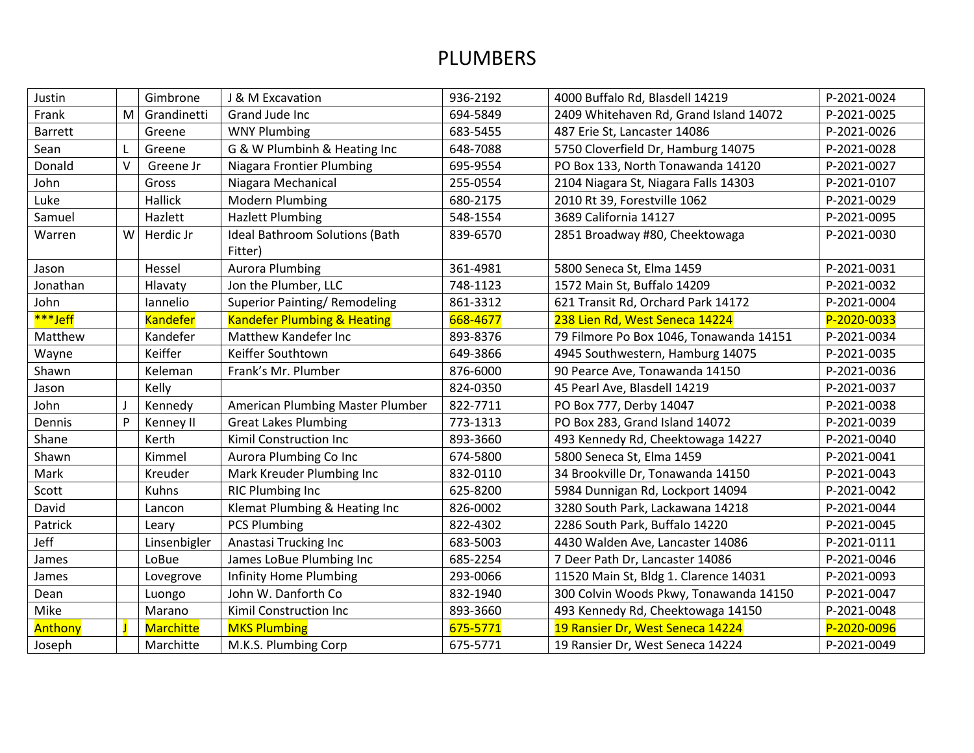| Justin         |        | Gimbrone         | J & M Excavation                       | 936-2192 | 4000 Buffalo Rd, Blasdell 14219         | P-2021-0024 |
|----------------|--------|------------------|----------------------------------------|----------|-----------------------------------------|-------------|
| Frank          | M      | Grandinetti      | Grand Jude Inc                         | 694-5849 | 2409 Whitehaven Rd, Grand Island 14072  | P-2021-0025 |
| <b>Barrett</b> |        | Greene           | <b>WNY Plumbing</b>                    | 683-5455 | 487 Erie St. Lancaster 14086            | P-2021-0026 |
| Sean           |        | Greene           | G & W Plumbinh & Heating Inc           | 648-7088 | 5750 Cloverfield Dr, Hamburg 14075      | P-2021-0028 |
| Donald         | $\vee$ | Greene Jr        | <b>Niagara Frontier Plumbing</b>       | 695-9554 | PO Box 133, North Tonawanda 14120       | P-2021-0027 |
| John           |        | Gross            | Niagara Mechanical                     | 255-0554 | 2104 Niagara St, Niagara Falls 14303    | P-2021-0107 |
| Luke           |        | Hallick          | Modern Plumbing                        | 680-2175 | 2010 Rt 39, Forestville 1062            | P-2021-0029 |
| Samuel         |        | Hazlett          | <b>Hazlett Plumbing</b>                | 548-1554 | 3689 California 14127                   | P-2021-0095 |
| Warren         | W      | Herdic Jr        | <b>Ideal Bathroom Solutions (Bath</b>  | 839-6570 | 2851 Broadway #80, Cheektowaga          | P-2021-0030 |
|                |        |                  | Fitter)                                |          |                                         |             |
| Jason          |        | Hessel           | <b>Aurora Plumbing</b>                 | 361-4981 | 5800 Seneca St, Elma 1459               | P-2021-0031 |
| Jonathan       |        | Hlavaty          | Jon the Plumber, LLC                   | 748-1123 | 1572 Main St, Buffalo 14209             | P-2021-0032 |
| John           |        | Iannelio         | <b>Superior Painting/ Remodeling</b>   | 861-3312 | 621 Transit Rd, Orchard Park 14172      | P-2021-0004 |
| ***Jeff        |        | <b>Kandefer</b>  | <b>Kandefer Plumbing &amp; Heating</b> | 668-4677 | 238 Lien Rd, West Seneca 14224          | P-2020-0033 |
| Matthew        |        | Kandefer         | Matthew Kandefer Inc                   | 893-8376 | 79 Filmore Po Box 1046, Tonawanda 14151 | P-2021-0034 |
| Wayne          |        | Keiffer          | Keiffer Southtown                      | 649-3866 | 4945 Southwestern, Hamburg 14075        | P-2021-0035 |
| Shawn          |        | Keleman          | Frank's Mr. Plumber                    | 876-6000 | 90 Pearce Ave, Tonawanda 14150          | P-2021-0036 |
| Jason          |        | Kelly            |                                        | 824-0350 | 45 Pearl Ave, Blasdell 14219            | P-2021-0037 |
| John           |        | Kennedy          | American Plumbing Master Plumber       | 822-7711 | PO Box 777, Derby 14047                 | P-2021-0038 |
| Dennis         | P      | Kenney II        | <b>Great Lakes Plumbing</b>            | 773-1313 | PO Box 283, Grand Island 14072          | P-2021-0039 |
| Shane          |        | Kerth            | Kimil Construction Inc                 | 893-3660 | 493 Kennedy Rd, Cheektowaga 14227       | P-2021-0040 |
| Shawn          |        | Kimmel           | Aurora Plumbing Co Inc                 | 674-5800 | 5800 Seneca St, Elma 1459               | P-2021-0041 |
| Mark           |        | Kreuder          | Mark Kreuder Plumbing Inc              | 832-0110 | 34 Brookville Dr, Tonawanda 14150       | P-2021-0043 |
| Scott          |        | Kuhns            | <b>RIC Plumbing Inc</b>                | 625-8200 | 5984 Dunnigan Rd, Lockport 14094        | P-2021-0042 |
| David          |        | Lancon           | Klemat Plumbing & Heating Inc          | 826-0002 | 3280 South Park, Lackawana 14218        | P-2021-0044 |
| Patrick        |        | Leary            | <b>PCS Plumbing</b>                    | 822-4302 | 2286 South Park, Buffalo 14220          | P-2021-0045 |
| Jeff           |        | Linsenbigler     | Anastasi Trucking Inc                  | 683-5003 | 4430 Walden Ave, Lancaster 14086        | P-2021-0111 |
| James          |        | LoBue            | James LoBue Plumbing Inc               | 685-2254 | 7 Deer Path Dr, Lancaster 14086         | P-2021-0046 |
| James          |        | Lovegrove        | <b>Infinity Home Plumbing</b>          | 293-0066 | 11520 Main St, Bldg 1. Clarence 14031   | P-2021-0093 |
| Dean           |        | Luongo           | John W. Danforth Co                    | 832-1940 | 300 Colvin Woods Pkwy, Tonawanda 14150  | P-2021-0047 |
| Mike           |        | Marano           | Kimil Construction Inc                 | 893-3660 | 493 Kennedy Rd, Cheektowaga 14150       | P-2021-0048 |
| Anthony        |        | <b>Marchitte</b> | <b>MKS Plumbing</b>                    | 675-5771 | 19 Ransier Dr, West Seneca 14224        | P-2020-0096 |
| Joseph         |        | Marchitte        | M.K.S. Plumbing Corp                   | 675-5771 | 19 Ransier Dr, West Seneca 14224        | P-2021-0049 |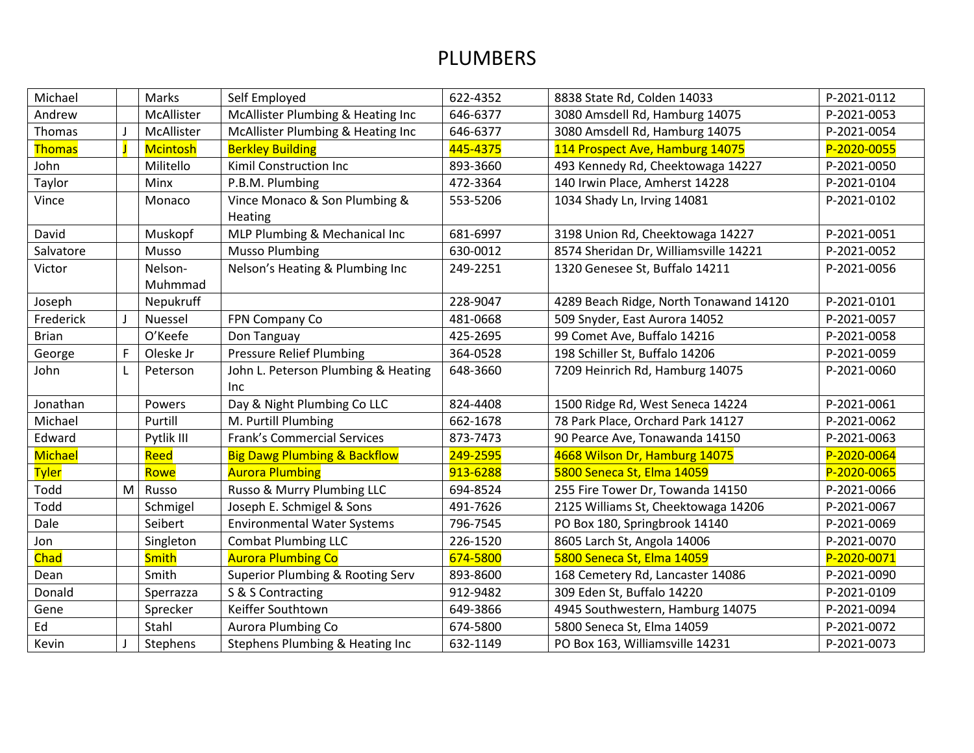| Michael       |   | Marks           | Self Employed                               | 622-4352 | 8838 State Rd, Colden 14033            | P-2021-0112 |
|---------------|---|-----------------|---------------------------------------------|----------|----------------------------------------|-------------|
| Andrew        |   | McAllister      | McAllister Plumbing & Heating Inc           | 646-6377 | 3080 Amsdell Rd, Hamburg 14075         | P-2021-0053 |
| Thomas        |   | McAllister      | McAllister Plumbing & Heating Inc           | 646-6377 | 3080 Amsdell Rd, Hamburg 14075         | P-2021-0054 |
| <b>Thomas</b> |   | <b>Mcintosh</b> | <b>Berkley Building</b>                     | 445-4375 | 114 Prospect Ave, Hamburg 14075        | P-2020-0055 |
| John          |   | Militello       | Kimil Construction Inc                      | 893-3660 | 493 Kennedy Rd, Cheektowaga 14227      | P-2021-0050 |
| Taylor        |   | Minx            | P.B.M. Plumbing                             | 472-3364 | 140 Irwin Place, Amherst 14228         | P-2021-0104 |
| Vince         |   | Monaco          | Vince Monaco & Son Plumbing &               | 553-5206 | 1034 Shady Ln, Irving 14081            | P-2021-0102 |
|               |   |                 | Heating                                     |          |                                        |             |
| David         |   | Muskopf         | MLP Plumbing & Mechanical Inc               | 681-6997 | 3198 Union Rd, Cheektowaga 14227       | P-2021-0051 |
| Salvatore     |   | Musso           | <b>Musso Plumbing</b>                       | 630-0012 | 8574 Sheridan Dr, Williamsville 14221  | P-2021-0052 |
| Victor        |   | Nelson-         | Nelson's Heating & Plumbing Inc             | 249-2251 | 1320 Genesee St, Buffalo 14211         | P-2021-0056 |
|               |   | Muhmmad         |                                             |          |                                        |             |
| Joseph        |   | Nepukruff       |                                             | 228-9047 | 4289 Beach Ridge, North Tonawand 14120 | P-2021-0101 |
| Frederick     |   | Nuessel         | FPN Company Co                              | 481-0668 | 509 Snyder, East Aurora 14052          | P-2021-0057 |
| <b>Brian</b>  |   | O'Keefe         | Don Tanguay                                 | 425-2695 | 99 Comet Ave, Buffalo 14216            | P-2021-0058 |
| George        | F | Oleske Jr       | <b>Pressure Relief Plumbing</b>             | 364-0528 | 198 Schiller St, Buffalo 14206         | P-2021-0059 |
| John          |   | Peterson        | John L. Peterson Plumbing & Heating         | 648-3660 | 7209 Heinrich Rd, Hamburg 14075        | P-2021-0060 |
|               |   |                 | Inc.                                        |          |                                        |             |
| Jonathan      |   | Powers          | Day & Night Plumbing Co LLC                 | 824-4408 | 1500 Ridge Rd, West Seneca 14224       | P-2021-0061 |
| Michael       |   | Purtill         | M. Purtill Plumbing                         | 662-1678 | 78 Park Place, Orchard Park 14127      | P-2021-0062 |
| Edward        |   | Pytlik III      | <b>Frank's Commercial Services</b>          | 873-7473 | 90 Pearce Ave, Tonawanda 14150         | P-2021-0063 |
| Michael       |   | Reed            | <b>Big Dawg Plumbing &amp; Backflow</b>     | 249-2595 | 4668 Wilson Dr, Hamburg 14075          | P-2020-0064 |
| <b>Tyler</b>  |   | Rowe            | <b>Aurora Plumbing</b>                      | 913-6288 | 5800 Seneca St, Elma 14059             | P-2020-0065 |
| Todd          | M | Russo           | Russo & Murry Plumbing LLC                  | 694-8524 | 255 Fire Tower Dr, Towanda 14150       | P-2021-0066 |
| Todd          |   | Schmigel        | Joseph E. Schmigel & Sons                   | 491-7626 | 2125 Williams St, Cheektowaga 14206    | P-2021-0067 |
| Dale          |   | Seibert         | <b>Environmental Water Systems</b>          | 796-7545 | PO Box 180, Springbrook 14140          | P-2021-0069 |
| Jon           |   | Singleton       | <b>Combat Plumbing LLC</b>                  | 226-1520 | 8605 Larch St, Angola 14006            | P-2021-0070 |
| <b>Chad</b>   |   | <b>Smith</b>    | <b>Aurora Plumbing Co</b>                   | 674-5800 | 5800 Seneca St, Elma 14059             | P-2020-0071 |
| Dean          |   | Smith           | <b>Superior Plumbing &amp; Rooting Serv</b> | 893-8600 | 168 Cemetery Rd, Lancaster 14086       | P-2021-0090 |
| Donald        |   | Sperrazza       | S & S Contracting                           | 912-9482 | 309 Eden St, Buffalo 14220             | P-2021-0109 |
| Gene          |   | Sprecker        | Keiffer Southtown                           | 649-3866 | 4945 Southwestern, Hamburg 14075       | P-2021-0094 |
| Ed            |   | Stahl           | Aurora Plumbing Co                          | 674-5800 | 5800 Seneca St, Elma 14059             | P-2021-0072 |
| Kevin         |   | Stephens        | Stephens Plumbing & Heating Inc             | 632-1149 | PO Box 163, Williamsville 14231        | P-2021-0073 |